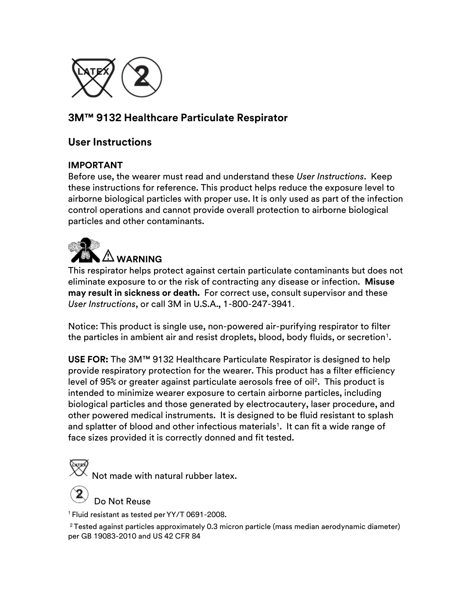

## **3M™ 9132 Healthcare Particulate Respirator**

## **User Instructions**

#### **IMPORTANT**

Before use, the wearer must read and understand these *User Instructions*. Keep these instructions for reference. This product helps reduce the exposure level to airborne biological particles with proper use. It is only used as part of the infection control operations and cannot provide overall protection to airborne biological particles and other contaminants.



This respirator helps protect against certain particulate contaminants but does not eliminate exposure to or the risk of contracting any disease or infection. **Misuse may result in sickness or death.** For correct use, consult supervisor and these *User Instructions*, or call 3M in U.S.A., 1-800-247-3941.

Notice: This product is single use, non-powered air-purifying respirator to filter the particles in ambient air and resist droplets, blood, body fluids, or secretion $^{\scriptscriptstyle 1}$ .

**USE FOR:** The 3M™ 9132 Healthcare Particulate Respirator is designed to help provide respiratory protection for the wearer. This product has a filter efficiency level of 95% or greater against particulate aerosols free of oil<sup>2</sup>. This product is intended to minimize wearer exposure to certain airborne particles, including biological particles and those generated by electrocautery, laser procedure, and other powered medical instruments. It is designed to be fluid resistant to splash and splatter of blood and other infectious materials<sup>1</sup>. It can fit a wide range of face sizes provided it is correctly donned and fit tested.

 $\overset{\text{\tiny{[N_T\#N]}}}{\times}$  Not made with natural rubber latex.

Do Not Reuse

<sup>1</sup> Fluid resistant as tested per YY/T 0691-2008.

<sup>2</sup>Tested against particles approximately 0.3 micron particle (mass median aerodynamic diameter) per GB 19083-2010 and US 42 CFR 84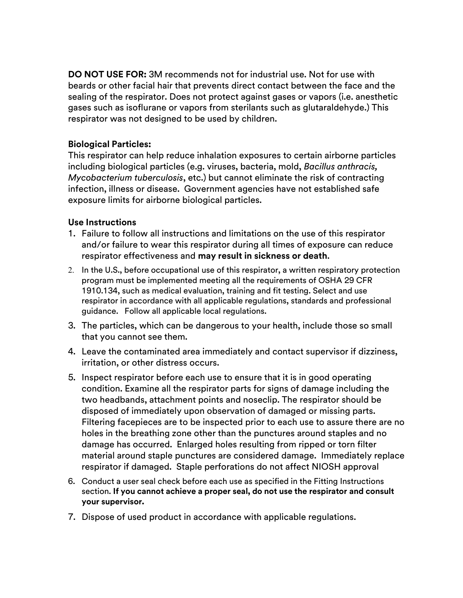**DO NOT USE FOR:** 3M recommends not for industrial use. Not for use with beards or other facial hair that prevents direct contact between the face and the sealing of the respirator. Does not protect against gases or vapors (i.e. anesthetic gases such as isoflurane or vapors from sterilants such as glutaraldehyde.) This respirator was not designed to be used by children.

#### **Biological Particles:**

This respirator can help reduce inhalation exposures to certain airborne particles including biological particles (e.g. viruses, bacteria, mold, *Bacillus anthracis, Mycobacterium tuberculosis*, etc.) but cannot eliminate the risk of contracting infection, illness or disease. Government agencies have not established safe exposure limits for airborne biological particles.

#### **Use Instructions**

- 1. Failure to follow all instructions and limitations on the use of this respirator and/or failure to wear this respirator during all times of exposure can reduce respirator effectiveness and **may result in sickness or death**.
- 2. In the U.S., before occupational use of this respirator, a written respiratory protection program must be implemented meeting all the requirements of OSHA 29 CFR 1910.134, such as medical evaluation, training and fit testing. Select and use respirator in accordance with all applicable regulations, standards and professional guidance. Follow all applicable local regulations.
- 3. The particles, which can be dangerous to your health, include those so small that you cannot see them.
- 4. Leave the contaminated area immediately and contact supervisor if dizziness, irritation, or other distress occurs.
- 5. Inspect respirator before each use to ensure that it is in good operating condition. Examine all the respirator parts for signs of damage including the two headbands, attachment points and noseclip. The respirator should be disposed of immediately upon observation of damaged or missing parts. Filtering facepieces are to be inspected prior to each use to assure there are no holes in the breathing zone other than the punctures around staples and no damage has occurred. Enlarged holes resulting from ripped or torn filter material around staple punctures are considered damage. Immediately replace respirator if damaged. Staple perforations do not affect NIOSH approval
- 6. Conduct a user seal check before each use as specified in the Fitting Instructions section. **If you cannot achieve a proper seal, do not use the respirator and consult your supervisor.**
- 7. Dispose of used product in accordance with applicable regulations.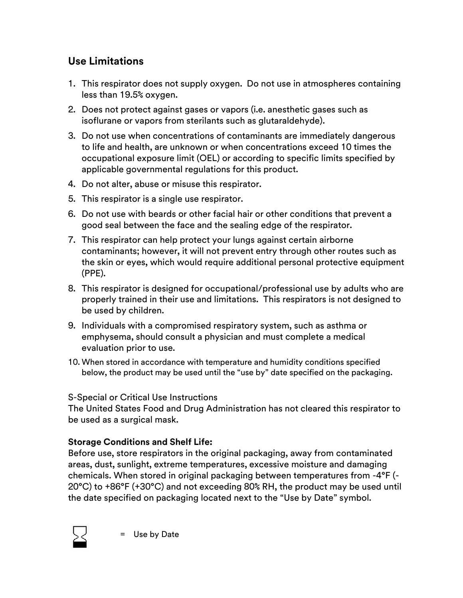# **Use Limitations**

- 1. This respirator does not supply oxygen. Do not use in atmospheres containing less than 19.5% oxygen.
- 2. Does not protect against gases or vapors (i.e. anesthetic gases such as isoflurane or vapors from sterilants such as glutaraldehyde).
- 3. Do not use when concentrations of contaminants are immediately dangerous to life and health, are unknown or when concentrations exceed 10 times the occupational exposure limit (OEL) or according to specific limits specified by applicable governmental regulations for this product.
- 4. Do not alter, abuse or misuse this respirator.
- 5. This respirator is a single use respirator.
- 6. Do not use with beards or other facial hair or other conditions that prevent a good seal between the face and the sealing edge of the respirator.
- 7. This respirator can help protect your lungs against certain airborne contaminants; however, it will not prevent entry through other routes such as the skin or eyes, which would require additional personal protective equipment (PPE).
- 8. This respirator is designed for occupational/professional use by adults who are properly trained in their use and limitations. This respirators is not designed to be used by children.
- 9. Individuals with a compromised respiratory system, such as asthma or emphysema, should consult a physician and must complete a medical evaluation prior to use.
- 10. When stored in accordance with temperature and humidity conditions specified below, the product may be used until the "use by" date specified on the packaging.

### S-Special or Critical Use Instructions

The United States Food and Drug Administration has not cleared this respirator to be used as a surgical mask.

### **Storage Conditions and Shelf Life:**

Before use, store respirators in the original packaging, away from contaminated areas, dust, sunlight, extreme temperatures, excessive moisture and damaging chemicals. When stored in original packaging between temperatures from -4°F (- 20°C) to +86°F (+30°C) and not exceeding 80% RH, the product may be used until the date specified on packaging located next to the "Use by Date" symbol.



= Use by Date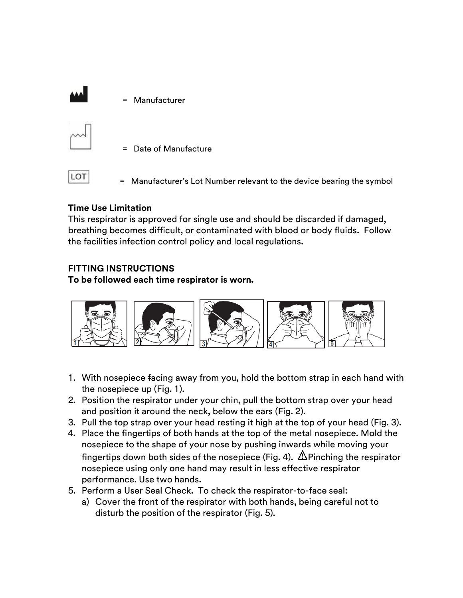



= Date of Manufacture

LOT

= Manufacturer's Lot Number relevant to the device bearing the symbol

## **Time Use Limitation**

This respirator is approved for single use and should be discarded if damaged, breathing becomes difficult, or contaminated with blood or body fluids. Follow the facilities infection control policy and local regulations.

## **FITTING INSTRUCTIONS**

**To be followed each time respirator is worn.**



- 1. With nosepiece facing away from you, hold the bottom strap in each hand with the nosepiece up (Fig. 1).
- 2. Position the respirator under your chin, pull the bottom strap over your head and position it around the neck, below the ears (Fig. 2).
- 3. Pull the top strap over your head resting it high at the top of your head (Fig. 3).
- 4. Place the fingertips of both hands at the top of the metal nosepiece. Mold the nosepiece to the shape of your nose by pushing inwards while moving your fingertips down both sides of the nosepiece (Fig. 4).  $\triangle$  Pinching the respirator nosepiece using only one hand may result in less effective respirator performance. Use two hands.
- 5. Perform a User Seal Check. To check the respirator-to-face seal:
	- a) Cover the front of the respirator with both hands, being careful not to disturb the position of the respirator (Fig. 5).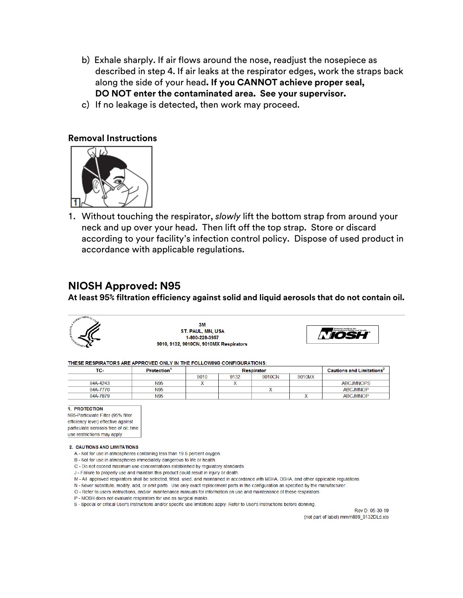- b) Exhale sharply. If air flows around the nose, readjust the nosepiece as described in step 4. If air leaks at the respirator edges, work the straps back along the side of your head**. If you CANNOT achieve proper seal, DO NOT enter the contaminated area. See your supervisor.**
- c) If no leakage is detected, then work may proceed.

#### **Removal Instructions**



1. Without touching the respirator, *slowly* lift the bottom strap from around your neck and up over your head. Then lift off the top strap. Store or discard according to your facility's infection control policy. Dispose of used product in accordance with applicable regulations.

#### **NIOSH Approved: N95**

**At least 95% filtration efficiency against solid and liquid aerosols that do not contain oil.**



3M ST. PAUL, MN, USA 1-800-228-3957 9010, 9132, 9010CN, 9010MX Respirators



#### THESE RESPIRATORS ARE APPROVED ONLY IN THE FOLLOWING CONFIGURATIONS:

| TC-      | <b>Protection</b> | <b>Respirator</b> |      |        |        | <b>Cautions and Limitations<sup>2</sup></b> |
|----------|-------------------|-------------------|------|--------|--------|---------------------------------------------|
|          |                   | 9010              | 9132 | 9010CN | 9010MX |                                             |
| 84A-4243 | <b>N95</b>        |                   |      |        |        | <b>ABCJMNOPS</b>                            |
| 84A-7770 | N95               |                   |      |        |        | ABC.IMNOP                                   |
| 84A-7879 | N95               |                   |      |        |        | <b>ABCJMNOP</b>                             |

#### 1. PROTECTION

N95-Particulate Filter (95% filter efficiency level) effective against particulate aerosols free of oil; time use restrictions may apply

#### 2. CAUTIONS AND LIMITATIONS

- A Not for use in atmospheres containing less than 19.5 percent oxygen.
- B Not for use in atmospheres immediately dangerous to life or health.
- C Do not exceed maximum use concentrations established by regulatory standards.
- J Failure to properly use and maintain this product could result in injury or death.
- M All approved respirators shall be selected, fitted, used, and maintained in accordance with MSHA, OSHA, and other applicable regulations.
- N Never substitute, modify, add, or omit parts. Use only exact replacement parts in the configuration as specified by the manufacturer
- O Refer to users instructions, and/or maintenance manuals for information on use and maintenance of these respirators.
- P NIOSH does not evaluate respirators for use as surgical masks.
- S Special or critical User's Instructions and/or specific use limitations apply. Refer to User's Instructions before donning.

Rev D: 05-30-19 (not part of label) mmm889 9132DLd.xls